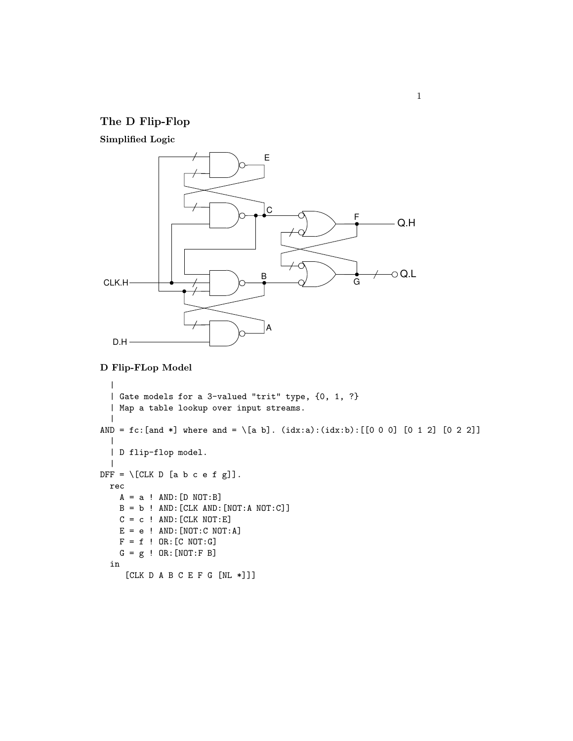## The D Flip-Flop

Simplified Logic



## D Flip-FLop Model

```
\|| Gate models for a 3-valued "trit" type, {0, 1, ?}
  | Map a table lookup over input streams.
  \overline{\phantom{a}}AND = fc: [and *] where and = \[a b]. (idx:a):(idx:b): [[0 0 0] [0 1 2] [0 2 2]]
  \blacksquare| D flip-flop model.
  |
DFF = \left[\begin{matrix}CLK & D & [a & b & c & e & f & g \end{matrix}\right].rec
     A = a ! AND: [D NOT:B]B = b ! AND: [CLK AND: [NOT:A NOT: C]]
     C = c ! AND: [CLK NOT:E]
     E = e ! AND: [NOT: C NOT: A]
     F = f ! OR: [C NOT: G]
     G = g ! OR: [NOT: F B]in
      [CLK D A B C E F G [NL *]]]
```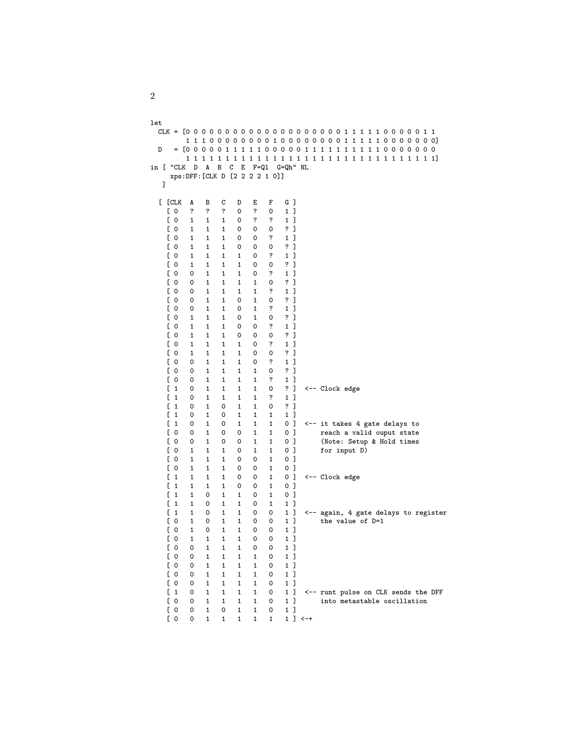```
let
  CLK = [0 0 0 0 0 0 0 0 0 0 0 0 0 0 0 0 0 0 0 0 1 1 1 1 1 0 0 0 0 0 1 1
         1 1 1 0 0 0 0 0 0 0 0 1 0 0 0 0 0 0 0 0 1 1 1 1 1 0 0 0 0 0 0 0]
  D = [0 0 0 0 0 1 1 1 1 1 0 0 0 0 0 1 1 1 1 1 1 1 1 1 1 0 0 0 0 0 0 0
          1 1 1 1 1 1 1 1 1 1 1 1 1 1 1 1 1 1 1 1 1 1 1 1 1 1 1 1 1 1 1 1]
in [ "CLK D A B C E F=Ql G=Qh" NL
     xps:DFF:[CLK D [2 2 2 2 1 0]]
   ]
  [ [CLK A B C D E F G ]
    [0  ? ? ? 0 ? 0 1]<br>[0 1 1 1 0 ? ? 1][ 0 1 1 1 0 ? ? 1 ]
    [ 0 1 1 1 0 0 0 ? ]<br>[ 0 1 1 1 0 0 ? 1 ]
     [ 0 1 1 1 0 0 ? 1 ]
     [ 0 1 1 1 0 0 0 ? ]
     [ 0 1 1 1 1 0 ? 1 ]
     [ 0 1 1 1 1 0 0 ? ]
    [0 \t 0 \t 1 \t 1 \t 1 \t 0 \t ? \t 1]<br>[0 \t 0 \t 1 \t 1 \t 1 \t 1 \t 0 \t ?][ 0 0 1 1 1 1 0 ? ]
     [ 0 0 1 1 1 1 ? 1 ]
     [ 0 0 1 1 0 1 0 ? ]
     [ 0 0 1 1 0 1 ? 1 ]
    [0 \t1 \t1 \t1 \t0 \t1 \t0 \t?\n<br>[0 \t1 \t1 \t1 \t0 \t0 \t?\n[ 0 1 1 1 0 0 ? 1 ]
     [ 0 1 1 1 0 0 0 ? ]
     [ 0 1 1 1 1 0 ? 1 ]
    [0 \t1 \t1 \t1 \t1 \t0 \t0 \t?\n<br>[0 \t0 \t1 \t1 \t1 \t0 \t?\n1][ 0 0 1 1 1 0 ? 1 ]
    [ 0 0 1 1 1 1 0 ? ]
     [ 0 0 1 1 1 1 ? 1 ]
    [ 1 0 1 1 1 1 0 ? ] <-- Clock edge
    \begin{bmatrix} 1 & 0 & 1 & 1 & 1 & 1 & ? & 1 \ 1 & 0 & 1 & 0 & 1 & 1 & 0 & ? \end{bmatrix}[ 1 0 1 0 1 1 0 ? ]
     [ 1 0 1 0 1 1 1 1 ]
    \begin{bmatrix} 1 & 0 & 1 & 0 & 1 & 1 & 1 & 0 \end{bmatrix} \begin{matrix} 4 & -1 & 0 & 1 & 1 & 0 \end{matrix} reach a valid ouput state
                                 1 0 ] reach a valid ouput state
    \begin{bmatrix} 0 & 0 & 1 & 0 & 0 & 1 & 1 & 0 \end{bmatrix} (Note: Setup & Hold times
    [ 0 1 1 1 0 1 1 1 0 ] for input D <br>[ 0 1 1 1 0 0 1 0 ]
                                      0 ]
     [ 0 1 1 1 0 0 1 0 ]
    \begin{bmatrix} 1 & 1 & 1 & 1 & 0 & 0 & 1 & 0 \ 1 & 1 & 1 & 1 & 0 & 0 & 1 & 0 \end{bmatrix}[1 \ 1 \ 1 \ 1 \ 0 \ 0 \ 1 \ 0]<br>[1 \ 1 \ 0 \ 1 \ 1 \ 0 \ 1 \ 0][ 1 1 0 1 1 0 1 0 ]
     [ 1 1 0 1 1 0 1 1 ]
    [1 \ 1 \ 0 \ 1 \ 1 \ 0 \ 0 \ 1] \longleftarrow again, 4 gate delays to register<br>[0 \ 1 \ 0 \ 1 \ 1 \ 0 \ 0 \ 1] the value of D=1
    [ 0 1 0 1 1 0 0 1 ] the value of D=1<br>[ 0 1 0 1 1 0 0 1 ]
    [0 \t1 \t0 \t1 \t1 \t0 \t0 \t1]<br>[0 \t1 \t1 \t1 \t1 \t0 \t0 \t1][ 0 1 1 1 1 0 0 1 ]
     [ 0 0 1 1 1 0 0 1 ]
     [ 0 0 1 1 1 1 0 1 ]
    [ 0 0 1 1 1 1 0 1 ]
    [ 0 0 1 1 1 1 0 1 ]
     [ 0 0 1 1 1 1 0 1 ]
    \begin{bmatrix} 1 & 0 & 1 & 1 & 1 & 1 & 0 & 1 \end{bmatrix} \begin{matrix} 1 & 0 & 1 & 1 & 1 & 0 & 1 \end{matrix} and the DFF \begin{bmatrix} 0 & 0 & 1 & 1 & 1 & 1 & 0 & 1 \end{bmatrix} and the metastable oscillation
               1 1 1 1 0 1] into metastable oscillation
    [0 \t 0 \t 1 \t 0 \t 1 \t 1 \t 0 \t 1]<br>[0 \t 0 \t 1 \t 1 \t 1 \t 1 \t 1 \t 1][0 \t1 \t1 \t1 \t1 \t1 \t1 \t1] <-+
```
2